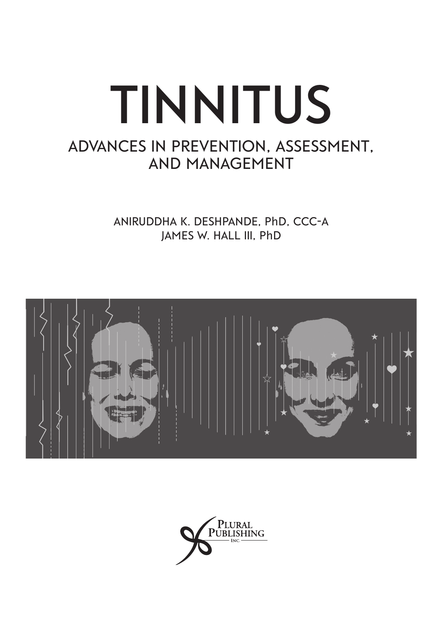# **Tinnitus Advances in Prevention, Assessment, and Management**

**Aniruddha K. Deshpande, P**h**D, CCC-A James W. Hall III, P**h**D**



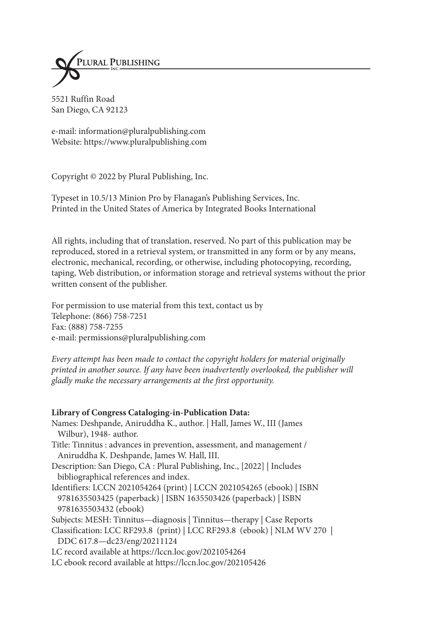

5521 Ruffin Road San Diego, CA 92123

e-mail: information@pluralpublishing.com Website: https://www.pluralpublishing.com

Copyright © 2022 by Plural Publishing, Inc.

Typeset in 10.5/13 Minion Pro by Flanagan's Publishing Services, Inc. Printed in the United States of America by Integrated Books International

All rights, including that of translation, reserved. No part of this publication may be reproduced, stored in a retrieval system, or transmitted in any form or by any means, electronic, mechanical, recording, or otherwise, including photocopying, recording, taping, Web distribution, or information storage and retrieval systems without the prior written consent of the publisher.

For permission to use material from this text, contact us by Telephone: (866) 758-7251 Fax: (888) 758-7255 e-mail: permissions@pluralpublishing.com

*Every attempt has been made to contact the copyright holders for material originally printed in another source. If any have been inadvertently overlooked, the publisher will gladly make the necessary arrangements at the first opportunity.*

### **Library of Congress Cataloging-in-Publication Data:**

Names: Deshpande, Aniruddha K., author. | Hall, James W., III (James Wilbur), 1948- author.

- Title: Tinnitus : advances in prevention, assessment, and management / Aniruddha K. Deshpande, James W. Hall, III.
- Description: San Diego, CA : Plural Publishing, Inc., [2022] | Includes bibliographical references and index.
- Identifiers: LCCN 2021054264 (print) | LCCN 2021054265 (ebook) | ISBN 9781635503425 (paperback) | ISBN 1635503426 (paperback) | ISBN 9781635503432 (ebook)

Subjects: MESH: Tinnitus—diagnosis | Tinnitus—therapy | Case Reports

Classification: LCC RF293.8 (print) | LCC RF293.8 (ebook) | NLM WV 270 | DDC 617.8—dc23/eng/20211124

LC record available at https://lccn.loc.gov/2021054264

LC ebook record available at https://lccn.loc.gov/202105426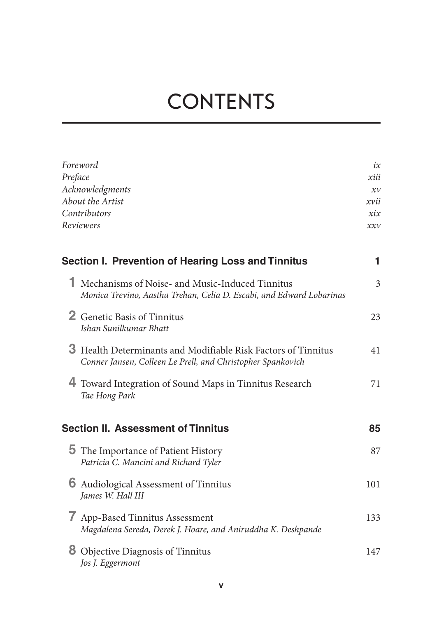# **Contents**

|   | Foreword                                                                                                                     | ix                 |  |
|---|------------------------------------------------------------------------------------------------------------------------------|--------------------|--|
|   | Preface                                                                                                                      |                    |  |
|   | Acknowledgments                                                                                                              |                    |  |
|   | About the Artist<br>Contributors                                                                                             |                    |  |
|   |                                                                                                                              |                    |  |
|   | Reviewers                                                                                                                    | $\chi \chi \gamma$ |  |
|   | Section I. Prevention of Hearing Loss and Tinnitus                                                                           | 1                  |  |
|   | 1 Mechanisms of Noise- and Music-Induced Tinnitus<br>Monica Trevino, Aastha Trehan, Celia D. Escabi, and Edward Lobarinas    | 3                  |  |
|   | 2 Genetic Basis of Tinnitus<br>Ishan Sunilkumar Bhatt                                                                        | 23                 |  |
|   | 3 Health Determinants and Modifiable Risk Factors of Tinnitus<br>Conner Jansen, Colleen Le Prell, and Christopher Spankovich | 41                 |  |
|   | 4 Toward Integration of Sound Maps in Tinnitus Research<br>Tae Hong Park                                                     | 71                 |  |
|   | <b>Section II. Assessment of Tinnitus</b>                                                                                    | 85                 |  |
|   | <b>5</b> The Importance of Patient History<br>Patricia C. Mancini and Richard Tyler                                          | 87                 |  |
| 6 | Audiological Assessment of Tinnitus<br>James W. Hall III                                                                     | 101                |  |
| 7 | App-Based Tinnitus Assessment<br>Magdalena Sereda, Derek J. Hoare, and Aniruddha K. Deshpande                                | 133                |  |
| 8 | Objective Diagnosis of Tinnitus<br>Jos J. Eggermont                                                                          | 147                |  |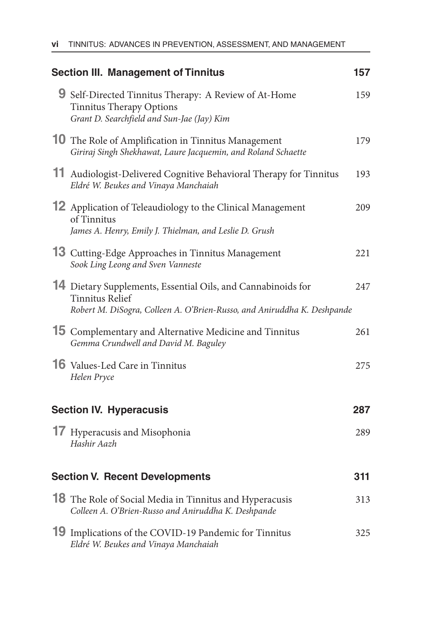| <b>Section III. Management of Tinnitus</b>                                                                                                                        | 157 |
|-------------------------------------------------------------------------------------------------------------------------------------------------------------------|-----|
| 9 Self-Directed Tinnitus Therapy: A Review of At-Home<br><b>Tinnitus Therapy Options</b><br>Grant D. Searchfield and Sun-Jae (Jay) Kim                            | 159 |
| <b>10</b> The Role of Amplification in Tinnitus Management<br>Giriraj Singh Shekhawat, Laure Jacquemin, and Roland Schaette                                       | 179 |
| 11 Audiologist-Delivered Cognitive Behavioral Therapy for Tinnitus<br>Eldré W. Beukes and Vinaya Manchaiah                                                        | 193 |
| 12 Application of Teleaudiology to the Clinical Management<br>of Tinnitus<br>James A. Henry, Emily J. Thielman, and Leslie D. Grush                               | 209 |
| 13 Cutting-Edge Approaches in Tinnitus Management<br>Sook Ling Leong and Sven Vanneste                                                                            | 221 |
| 14 Dietary Supplements, Essential Oils, and Cannabinoids for<br><b>Tinnitus Relief</b><br>Robert M. DiSogra, Colleen A. O'Brien-Russo, and Aniruddha K. Deshpande | 247 |
| 15 Complementary and Alternative Medicine and Tinnitus<br>Gemma Crundwell and David M. Baguley                                                                    | 261 |
| <b>16</b> Values-Led Care in Tinnitus<br>Helen Pryce                                                                                                              | 275 |
| <b>Section IV. Hyperacusis</b>                                                                                                                                    | 287 |
| <b>17</b> Hyperacusis and Misophonia<br>Hashir Aazh                                                                                                               | 289 |
| <b>Section V. Recent Developments</b>                                                                                                                             | 311 |
| <b>18</b> The Role of Social Media in Tinnitus and Hyperacusis<br>Colleen A. O'Brien-Russo and Aniruddha K. Deshpande                                             | 313 |
| 19 Implications of the COVID-19 Pandemic for Tinnitus<br>Eldré W. Beukes and Vinaya Manchaiah                                                                     | 325 |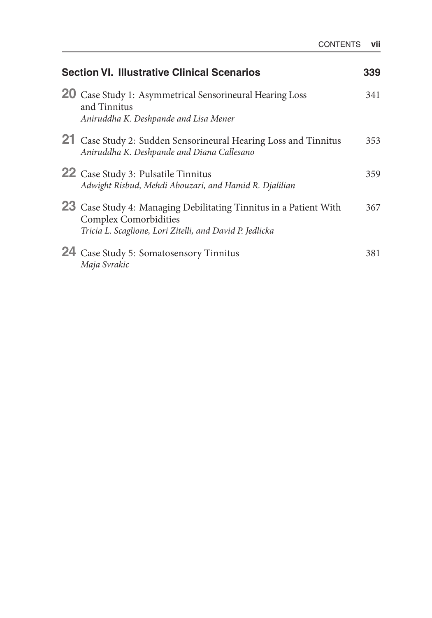| <b>Section VI. Illustrative Clinical Scenarios</b> |                                                                                                                                                               | 339 |
|----------------------------------------------------|---------------------------------------------------------------------------------------------------------------------------------------------------------------|-----|
|                                                    | <b>20</b> Case Study 1: Asymmetrical Sensorineural Hearing Loss<br>and Tinnitus<br>Aniruddha K. Deshpande and Lisa Mener                                      | 341 |
|                                                    | 21 Case Study 2: Sudden Sensorineural Hearing Loss and Tinnitus<br>Aniruddha K. Deshpande and Diana Callesano                                                 | 353 |
|                                                    | <b>22</b> Case Study 3: Pulsatile Tinnitus<br>Adwight Risbud, Mehdi Abouzari, and Hamid R. Djalilian                                                          | 359 |
|                                                    | 23 Case Study 4: Managing Debilitating Tinnitus in a Patient With<br><b>Complex Comorbidities</b><br>Tricia L. Scaglione, Lori Zitelli, and David P. Jedlicka | 367 |
|                                                    | 24 Case Study 5: Somatosensory Tinnitus<br>Maja Svrakic                                                                                                       | 381 |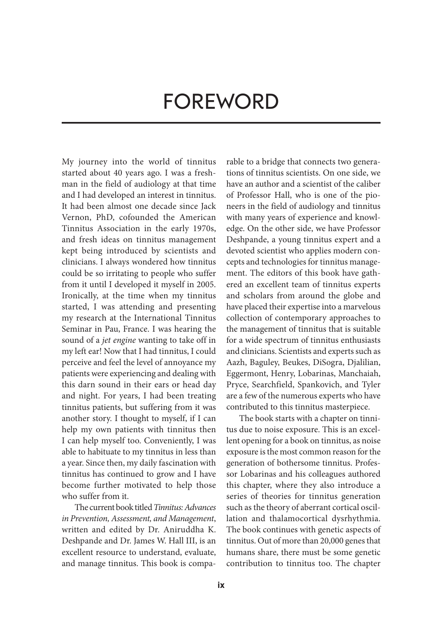# **Foreword**

My journey into the world of tinnitus started about 40 years ago. I was a freshman in the field of audiology at that time and I had developed an interest in tinnitus. It had been almost one decade since Jack Vernon, PhD, cofounded the American Tinnitus Association in the early 1970s, and fresh ideas on tinnitus management kept being introduced by scientists and clinicians. I always wondered how tinnitus could be so irritating to people who suffer from it until I developed it myself in 2005. Ironically, at the time when my tinnitus started, I was attending and presenting my research at the International Tinnitus Seminar in Pau, France. I was hearing the sound of a *jet engine* wanting to take off in my left ear! Now that I had tinnitus, I could perceive and feel the level of annoyance my patients were experiencing and dealing with this darn sound in their ears or head day and night. For years, I had been treating tinnitus patients, but suffering from it was another story. I thought to myself, if I can help my own patients with tinnitus then I can help myself too. Conveniently, I was able to habituate to my tinnitus in less than a year. Since then, my daily fascination with tinnitus has continued to grow and I have become further motivated to help those who suffer from it.

The current book titled *Tinnitus: Advances in Prevention, Assessment, and Management*, written and edited by Dr. Aniruddha K. Deshpande and Dr. James W. Hall III, is an excellent resource to understand, evaluate, and manage tinnitus. This book is comparable to a bridge that connects two generations of tinnitus scientists. On one side, we have an author and a scientist of the caliber of Professor Hall, who is one of the pioneers in the field of audiology and tinnitus with many years of experience and knowledge. On the other side, we have Professor Deshpande, a young tinnitus expert and a devoted scientist who applies modern concepts and technologies for tinnitus management. The editors of this book have gathered an excellent team of tinnitus experts and scholars from around the globe and have placed their expertise into a marvelous collection of contemporary approaches to the management of tinnitus that is suitable for a wide spectrum of tinnitus enthusiasts and clinicians. Scientists and experts such as Aazh, Baguley, Beukes, DiSogra, Djalilian, Eggermont, Henry, Lobarinas, Manchaiah, Pryce, Searchfield, Spankovich, and Tyler are a few of the numerous experts who have contributed to this tinnitus masterpiece.

The book starts with a chapter on tinnitus due to noise exposure. This is an excellent opening for a book on tinnitus, as noise exposure is the most common reason for the generation of bothersome tinnitus. Professor Lobarinas and his colleagues authored this chapter, where they also introduce a series of theories for tinnitus generation such as the theory of aberrant cortical oscillation and thalamocortical dysrhythmia. The book continues with genetic aspects of tinnitus. Out of more than 20,000 genes that humans share, there must be some genetic contribution to tinnitus too. The chapter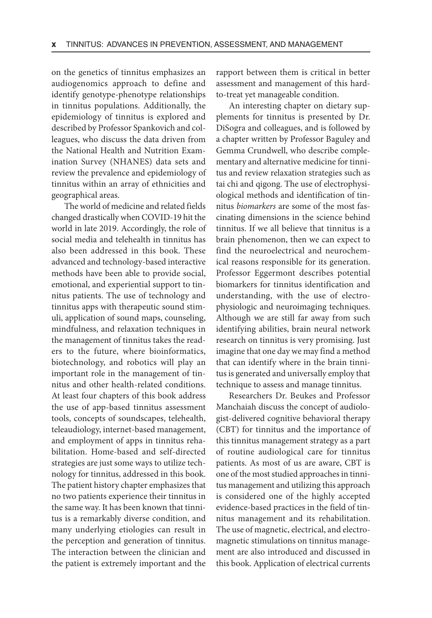on the genetics of tinnitus emphasizes an audiogenomics approach to define and identify genotype-phenotype relationships in tinnitus populations. Additionally, the epidemiology of tinnitus is explored and described by Professor Spankovich and colleagues, who discuss the data driven from the National Health and Nutrition Examination Survey (NHANES) data sets and review the prevalence and epidemiology of tinnitus within an array of ethnicities and geographical areas.

The world of medicine and related fields changed drastically when COVID-19 hit the world in late 2019. Accordingly, the role of social media and telehealth in tinnitus has also been addressed in this book. These advanced and technology-based interactive methods have been able to provide social, emotional, and experiential support to tinnitus patients. The use of technology and tinnitus apps with therapeutic sound stimuli, application of sound maps, counseling, mindfulness, and relaxation techniques in the management of tinnitus takes the readers to the future, where bioinformatics, biotechnology, and robotics will play an important role in the management of tinnitus and other health-related conditions. At least four chapters of this book address the use of app-based tinnitus assessment tools, concepts of soundscapes, telehealth, teleaudiology, internet-based management, and employment of apps in tinnitus rehabilitation. Home-based and self-directed strategies are just some ways to utilize technology for tinnitus, addressed in this book. The patient history chapter emphasizes that no two patients experience their tinnitus in the same way. It has been known that tinnitus is a remarkably diverse condition, and many underlying etiologies can result in the perception and generation of tinnitus. The interaction between the clinician and the patient is extremely important and the

rapport between them is critical in better assessment and management of this hardto-treat yet manageable condition.

An interesting chapter on dietary supplements for tinnitus is presented by Dr. DiSogra and colleagues, and is followed by a chapter written by Professor Baguley and Gemma Crundwell, who describe complementary and alternative medicine for tinnitus and review relaxation strategies such as tai chi and qigong. The use of electrophysiological methods and identification of tinnitus *biomarkers* are some of the most fascinating dimensions in the science behind tinnitus. If we all believe that tinnitus is a brain phenomenon, then we can expect to find the neuroelectrical and neurochemical reasons responsible for its generation. Professor Eggermont describes potential biomarkers for tinnitus identification and understanding, with the use of electrophysiologic and neuroimaging techniques. Although we are still far away from such identifying abilities, brain neural network research on tinnitus is very promising. Just imagine that one day we may find a method that can identify where in the brain tinnitus is generated and universally employ that technique to assess and manage tinnitus.

Researchers Dr. Beukes and Professor Manchaiah discuss the concept of audiologist-delivered cognitive behavioral therapy (CBT) for tinnitus and the importance of this tinnitus management strategy as a part of routine audiological care for tinnitus patients. As most of us are aware, CBT is one of the most studied approaches in tinnitus management and utilizing this approach is considered one of the highly accepted evidence-based practices in the field of tinnitus management and its rehabilitation. The use of magnetic, electrical, and electromagnetic stimulations on tinnitus management are also introduced and discussed in this book. Application of electrical currents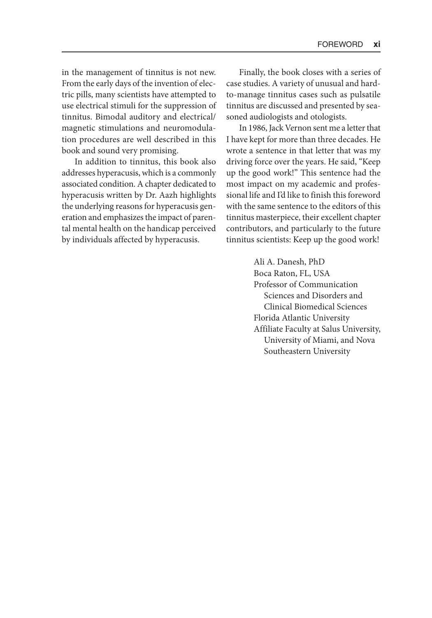in the management of tinnitus is not new. From the early days of the invention of electric pills, many scientists have attempted to use electrical stimuli for the suppression of tinnitus. Bimodal auditory and electrical/ magnetic stimulations and neuromodulation procedures are well described in this book and sound very promising.

In addition to tinnitus, this book also addresses hyperacusis, which is a commonly associated condition. A chapter dedicated to hyperacusis written by Dr. Aazh highlights the underlying reasons for hyperacusis generation and emphasizes the impact of parental mental health on the handicap perceived by individuals affected by hyperacusis.

Finally, the book closes with a series of case studies. A variety of unusual and hardto-manage tinnitus cases such as pulsatile tinnitus are discussed and presented by seasoned audiologists and otologists.

In 1986, Jack Vernon sent me a letter that I have kept for more than three decades. He wrote a sentence in that letter that was my driving force over the years. He said, "Keep up the good work!" This sentence had the most impact on my academic and professional life and I'd like to finish this foreword with the same sentence to the editors of this tinnitus masterpiece, their excellent chapter contributors, and particularly to the future tinnitus scientists: Keep up the good work!

> Ali A. Danesh, PhD Boca Raton, FL, USA Professor of Communication Sciences and Disorders and Clinical Biomedical Sciences Florida Atlantic University Affiliate Faculty at Salus University, University of Miami, and Nova Southeastern University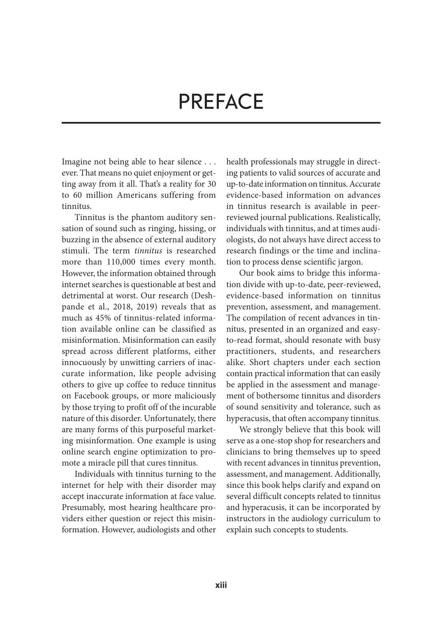# **Preface**

Imagine not being able to hear silence . . . ever. That means no quiet enjoyment or getting away from it all. That's a reality for 30 to 60 million Americans suffering from tinnitus.

Tinnitus is the phantom auditory sensation of sound such as ringing, hissing, or buzzing in the absence of external auditory stimuli. The term *tinnitus* is researched more than 110,000 times every month. However, the information obtained through internet searches is questionable at best and detrimental at worst. Our research (Deshpande et al., 2018, 2019) reveals that as much as 45% of tinnitus-related information available online can be classified as misinformation. Misinformation can easily spread across different platforms, either innocuously by unwitting carriers of inaccurate information, like people advising others to give up coffee to reduce tinnitus on Facebook groups, or more maliciously by those trying to profit off of the incurable nature of this disorder. Unfortunately, there are many forms of this purposeful marketing misinformation. One example is using online search engine optimization to promote a miracle pill that cures tinnitus.

Individuals with tinnitus turning to the internet for help with their disorder may accept inaccurate information at face value. Presumably, most hearing healthcare providers either question or reject this misinformation. However, audiologists and other health professionals may struggle in directing patients to valid sources of accurate and up-to-date information on tinnitus. Accurate evidence-based information on advances in tinnitus research is available in peerreviewed journal publications. Realistically, individuals with tinnitus, and at times audiologists, do not always have direct access to research findings or the time and inclination to process dense scientific jargon.

Our book aims to bridge this information divide with up-to-date, peer-reviewed, evidence-based information on tinnitus prevention, assessment, and management. The compilation of recent advances in tinnitus, presented in an organized and easyto-read format, should resonate with busy practitioners, students, and researchers alike. Short chapters under each section contain practical information that can easily be applied in the assessment and management of bothersome tinnitus and disorders of sound sensitivity and tolerance, such as hyperacusis, that often accompany tinnitus.

We strongly believe that this book will serve as a one-stop shop for researchers and clinicians to bring themselves up to speed with recent advances in tinnitus prevention, assessment, and management. Additionally, since this book helps clarify and expand on several difficult concepts related to tinnitus and hyperacusis, it can be incorporated by instructors in the audiology curriculum to explain such concepts to students.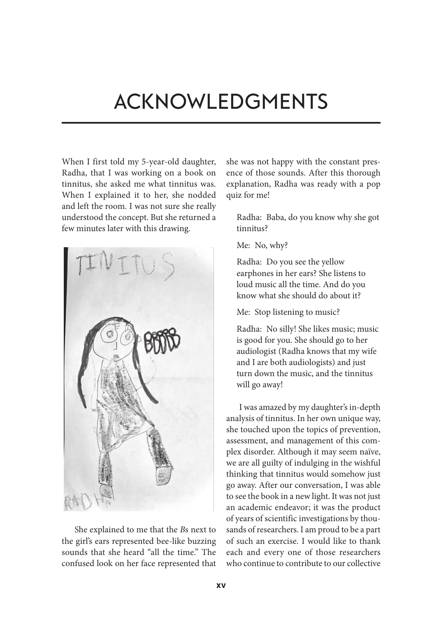# **Acknowledgments**

When I first told my 5-year-old daughter, Radha, that I was working on a book on tinnitus, she asked me what tinnitus was. When I explained it to her, she nodded and left the room. I was not sure she really understood the concept. But she returned a few minutes later with this drawing.



She explained to me that the *B*s next to the girl's ears represented bee-like buzzing sounds that she heard "all the time." The confused look on her face represented that she was not happy with the constant presence of those sounds. After this thorough explanation, Radha was ready with a pop quiz for me!

Radha: Baba, do you know why she got tinnitus?

Me: No, why?

Radha: Do you see the yellow earphones in her ears? She listens to loud music all the time. And do you know what she should do about it?

Me: Stop listening to music?

Radha: No silly! She likes music; music is good for you. She should go to her audiologist (Radha knows that my wife and I are both audiologists) and just turn down the music, and the tinnitus will go away!

I was amazed by my daughter's in-depth analysis of tinnitus. In her own unique way, she touched upon the topics of prevention, assessment, and management of this complex disorder. Although it may seem naïve, we are all guilty of indulging in the wishful thinking that tinnitus would somehow just go away. After our conversation, I was able to see the book in a new light. It was not just an academic endeavor; it was the product of years of scientific investigations by thousands of researchers. I am proud to be a part of such an exercise. I would like to thank each and every one of those researchers who continue to contribute to our collective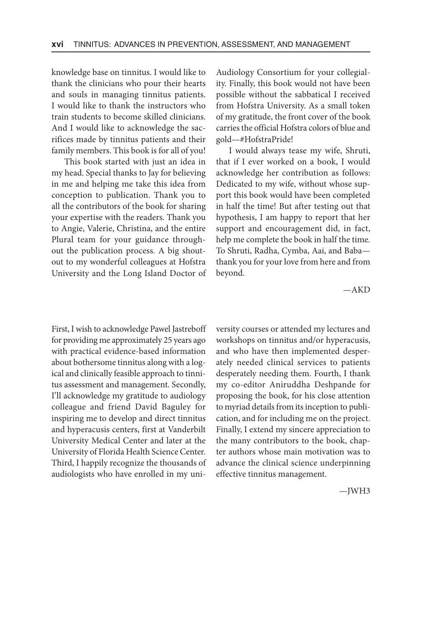knowledge base on tinnitus. I would like to thank the clinicians who pour their hearts and souls in managing tinnitus patients. I would like to thank the instructors who train students to become skilled clinicians. And I would like to acknowledge the sacrifices made by tinnitus patients and their family members. This book is for all of you!

This book started with just an idea in my head. Special thanks to Jay for believing in me and helping me take this idea from conception to publication. Thank you to all the contributors of the book for sharing your expertise with the readers. Thank you to Angie, Valerie, Christina, and the entire Plural team for your guidance throughout the publication process. A big shoutout to my wonderful colleagues at Hofstra University and the Long Island Doctor of Audiology Consortium for your collegiality. Finally, this book would not have been possible without the sabbatical I received from Hofstra University. As a small token of my gratitude, the front cover of the book carries the official Hofstra colors of blue and gold—#HofstraPride!

I would always tease my wife, Shruti, that if I ever worked on a book, I would acknowledge her contribution as follows: Dedicated to my wife, without whose support this book would have been completed in half the time! But after testing out that hypothesis, I am happy to report that her support and encouragement did, in fact, help me complete the book in half the time. To Shruti, Radha, Cymba, Aai, and Baba thank you for your love from here and from beyond.

—AKD

First, I wish to acknowledge Pawel Jastreboff for providing me approximately 25 years ago with practical evidence-based information about bothersome tinnitus along with a logical and clinically feasible approach to tinnitus assessment and management. Secondly, I'll acknowledge my gratitude to audiology colleague and friend David Baguley for inspiring me to develop and direct tinnitus and hyperacusis centers, first at Vanderbilt University Medical Center and later at the University of Florida Health Science Center. Third, I happily recognize the thousands of audiologists who have enrolled in my university courses or attended my lectures and workshops on tinnitus and/or hyperacusis, and who have then implemented desperately needed clinical services to patients desperately needing them. Fourth, I thank my co-editor Aniruddha Deshpande for proposing the book, for his close attention to myriad details from its inception to publication, and for including me on the project. Finally, I extend my sincere appreciation to the many contributors to the book, chapter authors whose main motivation was to advance the clinical science underpinning effective tinnitus management.

—JWH3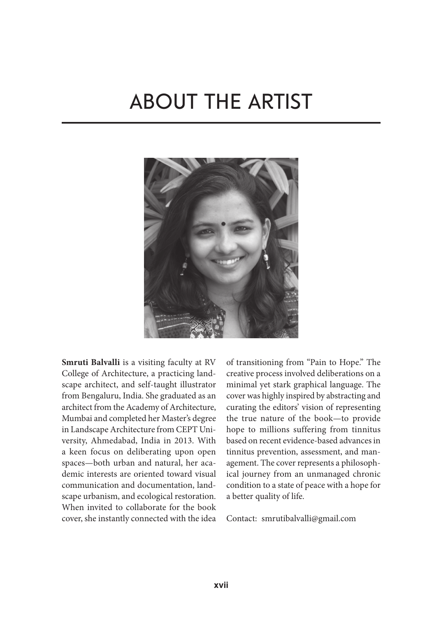# **About the Artist**



**Smruti Balvalli** is a visiting faculty at RV College of Architecture, a practicing landscape architect, and self-taught illustrator from Bengaluru, India. She graduated as an architect from the Academy of Architecture, Mumbai and completed her Master's degree in Landscape Architecture from CEPT University, Ahmedabad, India in 2013. With a keen focus on deliberating upon open spaces—both urban and natural, her academic interests are oriented toward visual communication and documentation, landscape urbanism, and ecological restoration. When invited to collaborate for the book cover, she instantly connected with the idea of transitioning from "Pain to Hope." The creative process involved deliberations on a minimal yet stark graphical language. The cover was highly inspired by abstracting and curating the editors' vision of representing the true nature of the book—to provide hope to millions suffering from tinnitus based on recent evidence-based advances in tinnitus prevention, assessment, and management. The cover represents a philosophical journey from an unmanaged chronic condition to a state of peace with a hope for a better quality of life.

Contact: smrutibalvalli@gmail.com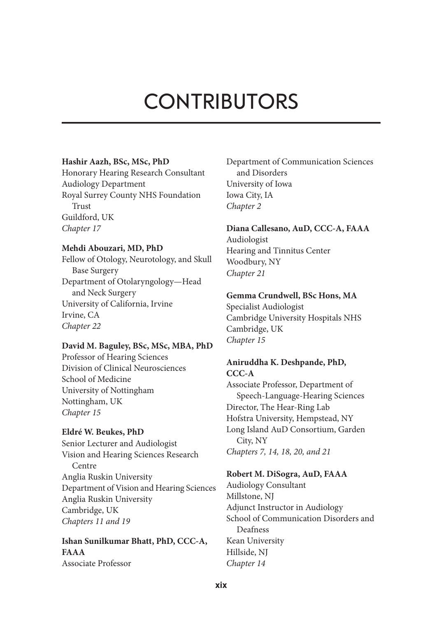# **Contributors**

#### **Hashir Aazh, BSc, MSc, PhD**

Honorary Hearing Research Consultant Audiology Department Royal Surrey County NHS Foundation Trust Guildford, UK *Chapter 17*

#### **Mehdi Abouzari, MD, PhD**

Fellow of Otology, Neurotology, and Skull Base Surgery Department of Otolaryngology—Head and Neck Surgery University of California, Irvine Irvine, CA *Chapter 22*

#### **David M. Baguley, BSc, MSc, MBA, PhD**

Professor of Hearing Sciences Division of Clinical Neurosciences School of Medicine University of Nottingham Nottingham, UK *Chapter 15*

#### **Eldré W. Beukes, PhD**

Senior Lecturer and Audiologist Vision and Hearing Sciences Research Centre Anglia Ruskin University Department of Vision and Hearing Sciences Anglia Ruskin University Cambridge, UK *Chapters 11 and 19*

**Ishan Sunilkumar Bhatt, PhD, CCC-A, FAAA** Associate Professor

Department of Communication Sciences and Disorders University of Iowa Iowa City, IA *Chapter 2*

#### **Diana Callesano, AuD, CCC-A, FAAA**

Audiologist Hearing and Tinnitus Center Woodbury, NY *Chapter 21*

#### **Gemma Crundwell, BSc Hons, MA**

Specialist Audiologist Cambridge University Hospitals NHS Cambridge, UK *Chapter 15*

# **Aniruddha K. Deshpande, PhD, CCC-A**

Associate Professor, Department of Speech-Language-Hearing Sciences Director, The Hear-Ring Lab Hofstra University, Hempstead, NY Long Island AuD Consortium, Garden City, NY *Chapters 7, 14, 18, 20, and 21*

#### **Robert M. DiSogra, AuD, FAAA**

Audiology Consultant Millstone, NJ Adjunct Instructor in Audiology School of Communication Disorders and Deafness Kean University Hillside, NJ *Chapter 14*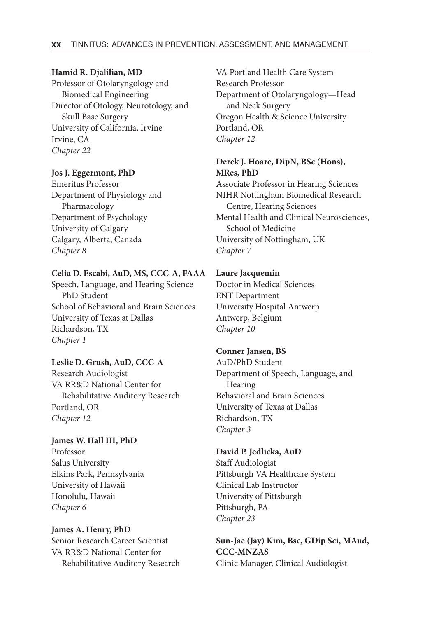#### **Hamid R. Djalilian, MD**

Professor of Otolaryngology and Biomedical Engineering Director of Otology, Neurotology, and Skull Base Surgery University of California, Irvine Irvine, CA *Chapter 22*

#### **Jos J. Eggermont, PhD**

Emeritus Professor Department of Physiology and Pharmacology Department of Psychology University of Calgary Calgary, Alberta, Canada *Chapter 8*

#### **Celia D. Escabi, AuD, MS, CCC-A, FAAA**

Speech, Language, and Hearing Science PhD Student School of Behavioral and Brain Sciences University of Texas at Dallas Richardson, TX *Chapter 1*

#### **Leslie D. Grush, AuD, CCC-A**

Research Audiologist VA RR&D National Center for Rehabilitative Auditory Research Portland, OR *Chapter 12*

#### **James W. Hall III, PhD**

Professor Salus University Elkins Park, Pennsylvania University of Hawaii Honolulu, Hawaii *Chapter 6*

### **James A. Henry, PhD** Senior Research Career Scientist VA RR&D National Center for Rehabilitative Auditory Research

VA Portland Health Care System Research Professor Department of Otolaryngology—Head and Neck Surgery Oregon Health & Science University Portland, OR *Chapter 12*

### **Derek J. Hoare, DipN, BSc (Hons), MRes, PhD**

Associate Professor in Hearing Sciences NIHR Nottingham Biomedical Research Centre, Hearing Sciences Mental Health and Clinical Neurosciences, School of Medicine University of Nottingham, UK *Chapter 7*

#### **Laure Jacquemin**

Doctor in Medical Sciences ENT Department University Hospital Antwerp Antwerp, Belgium *Chapter 10*

#### **Conner Jansen, BS**

AuD/PhD Student Department of Speech, Language, and **Hearing** Behavioral and Brain Sciences University of Texas at Dallas Richardson, TX *Chapter 3*

#### **David P. Jedlicka, AuD**

Staff Audiologist Pittsburgh VA Healthcare System Clinical Lab Instructor University of Pittsburgh Pittsburgh, PA *Chapter 23*

**Sun-Jae (Jay) Kim, Bsc, GDip Sci, MAud, CCC-MNZAS** Clinic Manager, Clinical Audiologist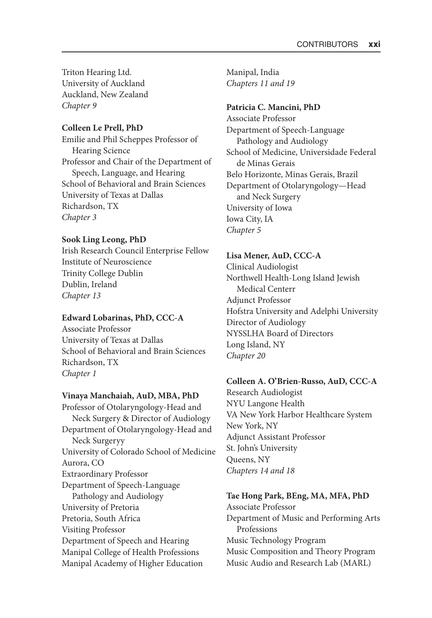Triton Hearing Ltd. University of Auckland Auckland, New Zealand *Chapter 9*

#### **Colleen Le Prell, PhD**

Emilie and Phil Scheppes Professor of Hearing Science Professor and Chair of the Department of Speech, Language, and Hearing School of Behavioral and Brain Sciences University of Texas at Dallas Richardson, TX *Chapter 3*

#### **Sook Ling Leong, PhD**

Irish Research Council Enterprise Fellow Institute of Neuroscience Trinity College Dublin Dublin, Ireland *Chapter 13*

#### **Edward Lobarinas, PhD, CCC-A**

Associate Professor University of Texas at Dallas School of Behavioral and Brain Sciences Richardson, TX *Chapter 1*

#### **Vinaya Manchaiah, AuD, MBA, PhD**

Professor of Otolaryngology-Head and Neck Surgery & Director of Audiology Department of Otolaryngology-Head and Neck Surgeryy University of Colorado School of Medicine Aurora, CO Extraordinary Professor Department of Speech-Language Pathology and Audiology University of Pretoria Pretoria, South Africa Visiting Professor Department of Speech and Hearing Manipal College of Health Professions Manipal Academy of Higher Education

Manipal, India *Chapters 11 and 19*

#### **Patricia C. Mancini, PhD**

Associate Professor Department of Speech-Language Pathology and Audiology School of Medicine, Universidade Federal de Minas Gerais Belo Horizonte, Minas Gerais, Brazil Department of Otolaryngology—Head and Neck Surgery University of Iowa Iowa City, IA *Chapter 5*

#### **Lisa Mener, AuD, CCC-A**

Clinical Audiologist Northwell Health-Long Island Jewish Medical Centerr Adjunct Professor Hofstra University and Adelphi University Director of Audiology NYSSLHA Board of Directors Long Island, NY *Chapter 20*

#### **Colleen A. O'Brien-Russo, AuD, CCC-A**

Research Audiologist NYU Langone Health VA New York Harbor Healthcare System New York, NY Adjunct Assistant Professor St. John's University Queens, NY *Chapters 14 and 18*

#### **Tae Hong Park, BEng, MA, MFA, PhD**

Associate Professor Department of Music and Performing Arts Professions Music Technology Program Music Composition and Theory Program Music Audio and Research Lab (MARL)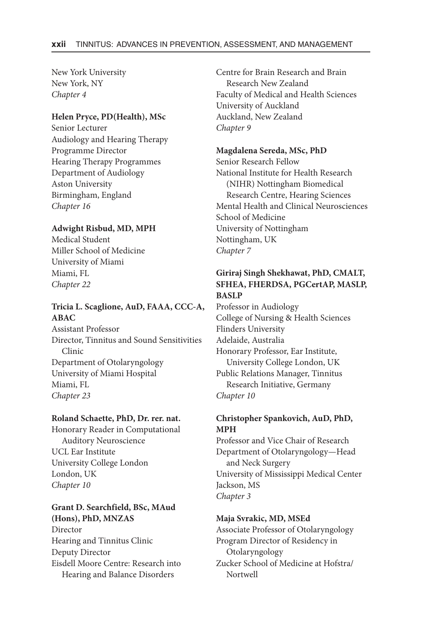New York University New York, NY *Chapter 4*

#### **Helen Pryce, PD(Health), MSc**

Senior Lecturer Audiology and Hearing Therapy Programme Director Hearing Therapy Programmes Department of Audiology Aston University Birmingham, England *Chapter 16*

#### **Adwight Risbud, MD, MPH**

Medical Student Miller School of Medicine University of Miami Miami, FL *Chapter 22*

# **Tricia L. Scaglione, AuD, FAAA, CCC-A, ABAC**

Assistant Professor Director, Tinnitus and Sound Sensitivities Clinic Department of Otolaryngology University of Miami Hospital Miami, FL *Chapter 23*

#### **Roland Schaette, PhD, Dr. rer. nat.**

Honorary Reader in Computational Auditory Neuroscience UCL Ear Institute University College London London, UK *Chapter 10*

#### **Grant D. Searchfield, BSc, MAud (Hons), PhD, MNZAS** Director

Hearing and Tinnitus Clinic Deputy Director Eisdell Moore Centre: Research into Hearing and Balance Disorders

Centre for Brain Research and Brain Research New Zealand Faculty of Medical and Health Sciences University of Auckland Auckland, New Zealand *Chapter 9*

#### **Magdalena Sereda, MSc, PhD**

Senior Research Fellow National Institute for Health Research (NIHR) Nottingham Biomedical Research Centre, Hearing Sciences Mental Health and Clinical Neurosciences School of Medicine University of Nottingham Nottingham, UK *Chapter 7*

#### **Giriraj Singh Shekhawat, PhD, CMALT, SFHEA, FHERDSA, PGCertAP, MASLP, BASLP**

Professor in Audiology College of Nursing & Health Sciences Flinders University Adelaide, Australia Honorary Professor, Ear Institute, University College London, UK Public Relations Manager, Tinnitus Research Initiative, Germany *Chapter 10*

#### **Christopher Spankovich, AuD, PhD, MPH**

Professor and Vice Chair of Research Department of Otolaryngology—Head and Neck Surgery University of Mississippi Medical Center Jackson, MS *Chapter 3*

#### **Maja Svrakic, MD, MSEd**

Associate Professor of Otolaryngology Program Director of Residency in Otolaryngology Zucker School of Medicine at Hofstra/ Nortwell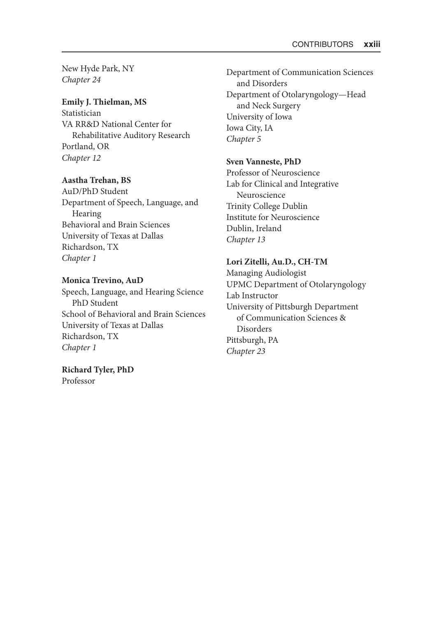New Hyde Park, NY *Chapter 24*

#### **Emily J. Thielman, MS**

Statistician VA RR&D National Center for Rehabilitative Auditory Research Portland, OR *Chapter 12*

#### **Aastha Trehan, BS**

AuD/PhD Student Department of Speech, Language, and Hearing Behavioral and Brain Sciences University of Texas at Dallas Richardson, TX *Chapter 1*

#### **Monica Trevino, AuD**

Speech, Language, and Hearing Science PhD Student School of Behavioral and Brain Sciences University of Texas at Dallas Richardson, TX *Chapter 1*

#### **Richard Tyler, PhD** Professor

Department of Communication Sciences and Disorders Department of Otolaryngology—Head and Neck Surgery University of Iowa Iowa City, IA *Chapter 5*

#### **Sven Vanneste, PhD**

Professor of Neuroscience Lab for Clinical and Integrative Neuroscience Trinity College Dublin Institute for Neuroscience Dublin, Ireland *Chapter 13*

#### **Lori Zitelli, Au.D., CH-TM**

Managing Audiologist UPMC Department of Otolaryngology Lab Instructor University of Pittsburgh Department of Communication Sciences & Disorders Pittsburgh, PA *Chapter 23*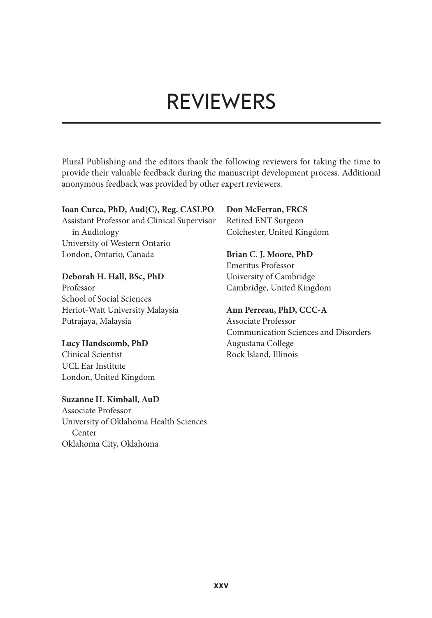# **Reviewers**

Plural Publishing and the editors thank the following reviewers for taking the time to provide their valuable feedback during the manuscript development process. Additional anonymous feedback was provided by other expert reviewers.

#### **Ioan Curca, PhD, Aud(C), Reg. CASLPO**

Assistant Professor and Clinical Supervisor in Audiology University of Western Ontario London, Ontario, Canada

#### **Deborah H. Hall, BSc, PhD**

Professor School of Social Sciences Heriot-Watt University Malaysia Putrajaya, Malaysia

### **Lucy Handscomb, PhD**

Clinical Scientist UCL Ear Institute London, United Kingdom

#### **Suzanne H. Kimball, AuD**

Associate Professor University of Oklahoma Health Sciences Center Oklahoma City, Oklahoma

### **Don McFerran, FRCS**

Retired ENT Surgeon Colchester, United Kingdom

# **Brian C. J. Moore, PhD**

Emeritus Professor University of Cambridge Cambridge, United Kingdom

### **Ann Perreau, PhD, CCC-A**

Associate Professor Communication Sciences and Disorders Augustana College Rock Island, Illinois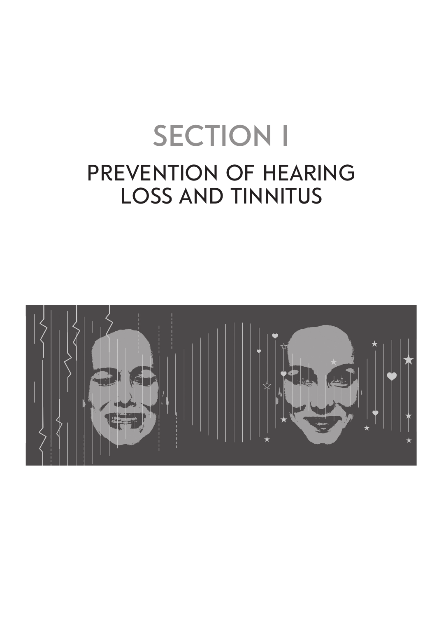# **SECTION I Prevention of Hearing Loss and Tinnitus**

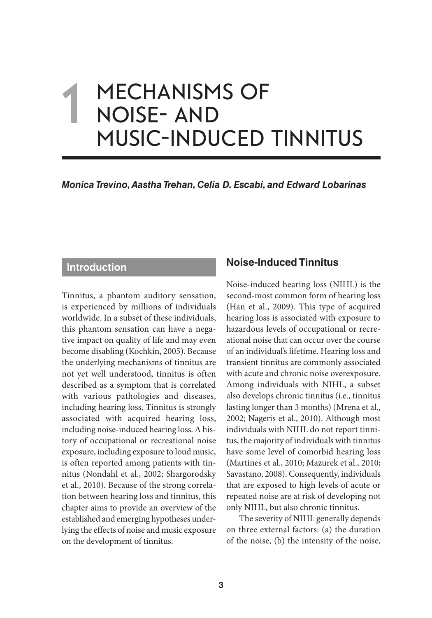# **Mechanisms of Noise- and Music-Induced Tinnitus 1**

*Monica Trevino, Aastha Trehan, Celia D. Escabi, and Edward Lobarinas*

# **Introduction**

Tinnitus, a phantom auditory sensation, is experienced by millions of individuals worldwide. In a subset of these individuals, this phantom sensation can have a negative impact on quality of life and may even become disabling (Kochkin, 2005). Because the underlying mechanisms of tinnitus are not yet well understood, tinnitus is often described as a symptom that is correlated with various pathologies and diseases, including hearing loss. Tinnitus is strongly associated with acquired hearing loss, including noise-induced hearing loss. A history of occupational or recreational noise exposure, including exposure to loud music, is often reported among patients with tinnitus (Nondahl et al., 2002; Shargorodsky et al., 2010). Because of the strong correlation between hearing loss and tinnitus, this chapter aims to provide an overview of the established and emerging hypotheses underlying the effects of noise and music exposure on the development of tinnitus.

# **Noise-Induced Tinnitus**

Noise-induced hearing loss (NIHL) is the second-most common form of hearing loss (Han et al., 2009). This type of acquired hearing loss is associated with exposure to hazardous levels of occupational or recreational noise that can occur over the course of an individual's lifetime. Hearing loss and transient tinnitus are commonly associated with acute and chronic noise overexposure. Among individuals with NIHL, a subset also develops chronic tinnitus (i.e., tinnitus lasting longer than 3 months) (Mrena et al., 2002; Nageris et al., 2010). Although most individuals with NIHL do not report tinnitus, the majority of individuals with tinnitus have some level of comorbid hearing loss (Martines et al., 2010; Mazurek et al., 2010; Savastano, 2008). Consequently, individuals that are exposed to high levels of acute or repeated noise are at risk of developing not only NIHL, but also chronic tinnitus.

The severity of NIHL generally depends on three external factors: (a) the duration of the noise, (b) the intensity of the noise,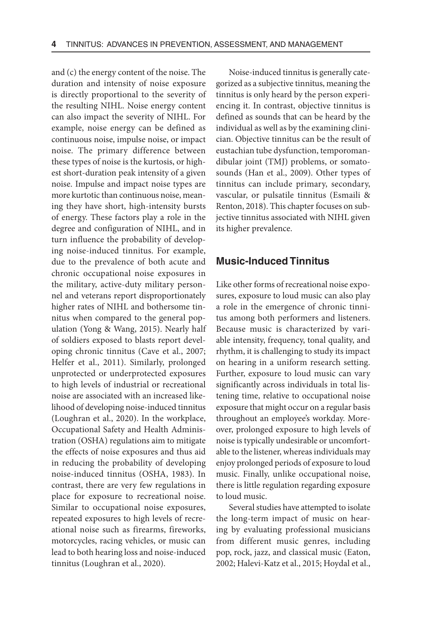and (c) the energy content of the noise. The duration and intensity of noise exposure is directly proportional to the severity of the resulting NIHL. Noise energy content can also impact the severity of NIHL. For example, noise energy can be defined as continuous noise, impulse noise, or impact noise. The primary difference between these types of noise is the kurtosis, or highest short-duration peak intensity of a given noise. Impulse and impact noise types are more kurtotic than continuous noise, meaning they have short, high-intensity bursts of energy. These factors play a role in the degree and configuration of NIHL, and in turn influence the probability of developing noise-induced tinnitus. For example, due to the prevalence of both acute and chronic occupational noise exposures in the military, active-duty military personnel and veterans report disproportionately higher rates of NIHL and bothersome tinnitus when compared to the general population (Yong & Wang, 2015). Nearly half of soldiers exposed to blasts report developing chronic tinnitus (Cave et al., 2007; Helfer et al., 2011). Similarly, prolonged unprotected or underprotected exposures to high levels of industrial or recreational noise are associated with an increased likelihood of developing noise-induced tinnitus (Loughran et al., 2020). In the workplace, Occupational Safety and Health Administration (OSHA) regulations aim to mitigate the effects of noise exposures and thus aid in reducing the probability of developing noise-induced tinnitus (OSHA, 1983). In contrast, there are very few regulations in place for exposure to recreational noise. Similar to occupational noise exposures, repeated exposures to high levels of recreational noise such as firearms, fireworks, motorcycles, racing vehicles, or music can lead to both hearing loss and noise-induced tinnitus (Loughran et al., 2020).

Noise-induced tinnitus is generally categorized as a subjective tinnitus, meaning the tinnitus is only heard by the person experiencing it. In contrast, objective tinnitus is defined as sounds that can be heard by the individual as well as by the examining clinician. Objective tinnitus can be the result of eustachian tube dysfunction, temporomandibular joint (TMJ) problems, or somatosounds (Han et al., 2009). Other types of tinnitus can include primary, secondary, vascular, or pulsatile tinnitus (Esmaili & Renton, 2018). This chapter focuses on subjective tinnitus associated with NIHL given its higher prevalence.

### **Music-Induced Tinnitus**

Like other forms of recreational noise exposures, exposure to loud music can also play a role in the emergence of chronic tinnitus among both performers and listeners. Because music is characterized by variable intensity, frequency, tonal quality, and rhythm, it is challenging to study its impact on hearing in a uniform research setting. Further, exposure to loud music can vary significantly across individuals in total listening time, relative to occupational noise exposure that might occur on a regular basis throughout an employee's workday. Moreover, prolonged exposure to high levels of noise is typically undesirable or uncomfortable to the listener, whereas individuals may enjoy prolonged periods of exposure to loud music. Finally, unlike occupational noise, there is little regulation regarding exposure to loud music.

Several studies have attempted to isolate the long-term impact of music on hearing by evaluating professional musicians from different music genres, including pop, rock, jazz, and classical music (Eaton, 2002; Halevi-Katz et al., 2015; Hoydal et al.,